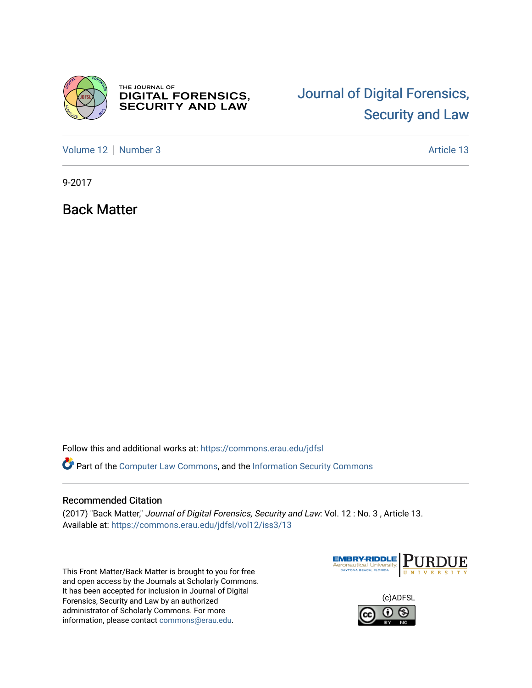

THE JOURNAL OF **DIGITAL FORENSICS,<br>SECURITY AND LAW** 

## [Journal of Digital Forensics,](https://commons.erau.edu/jdfsl)  [Security and Law](https://commons.erau.edu/jdfsl)

[Volume 12](https://commons.erau.edu/jdfsl/vol12) | [Number 3](https://commons.erau.edu/jdfsl/vol12/iss3) Article 13

9-2017

Back Matter

Follow this and additional works at: [https://commons.erau.edu/jdfsl](https://commons.erau.edu/jdfsl?utm_source=commons.erau.edu%2Fjdfsl%2Fvol12%2Fiss3%2F13&utm_medium=PDF&utm_campaign=PDFCoverPages)

Part of the [Computer Law Commons,](http://network.bepress.com/hgg/discipline/837?utm_source=commons.erau.edu%2Fjdfsl%2Fvol12%2Fiss3%2F13&utm_medium=PDF&utm_campaign=PDFCoverPages) and the [Information Security Commons](http://network.bepress.com/hgg/discipline/1247?utm_source=commons.erau.edu%2Fjdfsl%2Fvol12%2Fiss3%2F13&utm_medium=PDF&utm_campaign=PDFCoverPages) 

## Recommended Citation

(2017) "Back Matter," Journal of Digital Forensics, Security and Law: Vol. 12 : No. 3 , Article 13. Available at: [https://commons.erau.edu/jdfsl/vol12/iss3/13](https://commons.erau.edu/jdfsl/vol12/iss3/13?utm_source=commons.erau.edu%2Fjdfsl%2Fvol12%2Fiss3%2F13&utm_medium=PDF&utm_campaign=PDFCoverPages) 

This Front Matter/Back Matter is brought to you for free and open access by the Journals at Scholarly Commons. It has been accepted for inclusion in Journal of Digital Forensics, Security and Law by an authorized administrator of Scholarly Commons. For more information, please contact [commons@erau.edu.](mailto:commons@erau.edu)